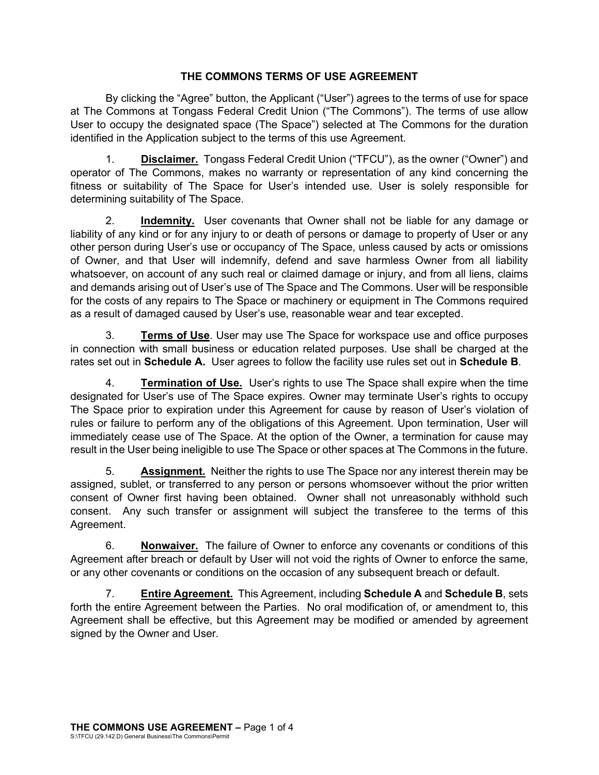# **THE COMMONS TERMS OF USE AGREEMENT**

By clicking the "Agree" button, the Applicant ("User") agrees to the terms of use for space at The Commons at Tongass Federal Credit Union ("The Commons"). The terms of use allow User to occupy the designated space (The Space") selected at The Commons for the duration identified in the Application subject to the terms of this use Agreement.

1. **Disclaimer.** Tongass Federal Credit Union ("TFCU"), as the owner ("Owner") and operator of The Commons, makes no warranty or representation of any kind concerning the fitness or suitability of The Space for User's intended use. User is solely responsible for determining suitability of The Space.

2. **Indemnity.** User covenants that Owner shall not be liable for any damage or liability of any kind or for any injury to or death of persons or damage to property of User or any other person during User's use or occupancy of The Space, unless caused by acts or omissions of Owner, and that User will indemnify, defend and save harmless Owner from all liability whatsoever, on account of any such real or claimed damage or injury, and from all liens, claims and demands arising out of User's use of The Space and The Commons. User will be responsible for the costs of any repairs to The Space or machinery or equipment in The Commons required as a result of damaged caused by User's use, reasonable wear and tear excepted.

3. **Terms of Use**. User may use The Space for workspace use and office purposes in connection with small business or education related purposes. Use shall be charged at the rates set out in **Schedule A.** User agrees to follow the facility use rules set out in **Schedule B**.

4. **Termination of Use.** User's rights to use The Space shall expire when the time designated for User's use of The Space expires. Owner may terminate User's rights to occupy The Space prior to expiration under this Agreement for cause by reason of User's violation of rules or failure to perform any of the obligations of this Agreement. Upon termination, User will immediately cease use of The Space. At the option of the Owner, a termination for cause may result in the User being ineligible to use The Space or other spaces at The Commons in the future.

5. **Assignment.** Neither the rights to use The Space nor any interest therein may be assigned, sublet, or transferred to any person or persons whomsoever without the prior written consent of Owner first having been obtained. Owner shall not unreasonably withhold such consent. Any such transfer or assignment will subject the transferee to the terms of this Agreement.

6. **Nonwaiver.** The failure of Owner to enforce any covenants or conditions of this Agreement after breach or default by User will not void the rights of Owner to enforce the same, or any other covenants or conditions on the occasion of any subsequent breach or default.

7. **Entire Agreement.** This Agreement, including **Schedule A** and **Schedule B**, sets forth the entire Agreement between the Parties. No oral modification of, or amendment to, this Agreement shall be effective, but this Agreement may be modified or amended by agreement signed by the Owner and User.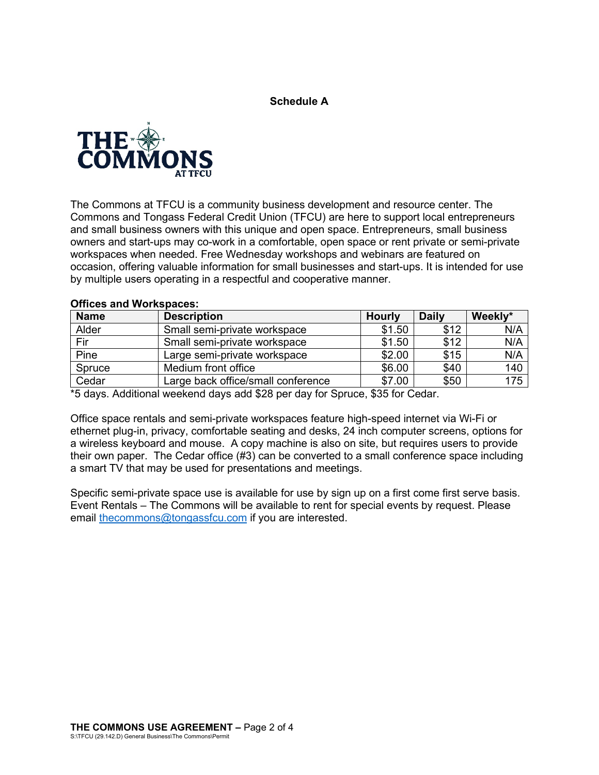**Schedule A** 



The Commons at TFCU is a community business development and resource center. The Commons and Tongass Federal Credit Union (TFCU) are here to support local entrepreneurs and small business owners with this unique and open space. Entrepreneurs, small business owners and start-ups may co-work in a comfortable, open space or rent private or semi-private workspaces when needed. Free Wednesday workshops and webinars are featured on occasion, offering valuable information for small businesses and start-ups. It is intended for use by multiple users operating in a respectful and cooperative manner.

| <b>Name</b> | <b>Description</b>                 | <b>Hourly</b> | <b>Daily</b> | Weekly* |
|-------------|------------------------------------|---------------|--------------|---------|
| Alder       | Small semi-private workspace       | \$1.50        | \$12         | N/A     |
| Fir         | Small semi-private workspace       | \$1.50        | \$12         | N/A     |
| Pine        | Large semi-private workspace       | \$2.00        | \$15         | N/A     |
| Spruce      | Medium front office                | \$6.00        | \$40         | 140     |
| Cedar       | Large back office/small conference | \$7.00        | \$50         | 175     |

#### **Offices and Workspaces:**

\*5 days. Additional weekend days add \$28 per day for Spruce, \$35 for Cedar.

Office space rentals and semi-private workspaces feature high-speed internet via Wi-Fi or ethernet plug-in, privacy, comfortable seating and desks, 24 inch computer screens, options for a wireless keyboard and mouse. A copy machine is also on site, but requires users to provide their own paper. The Cedar office (#3) can be converted to a small conference space including a smart TV that may be used for presentations and meetings.

Specific semi-private space use is available for use by sign up on a first come first serve basis. Event Rentals – The Commons will be available to rent for special events by request. Please email [thecommons@tongassfcu.com](mailto:thecommons@tongassfcu.com) if you are interested.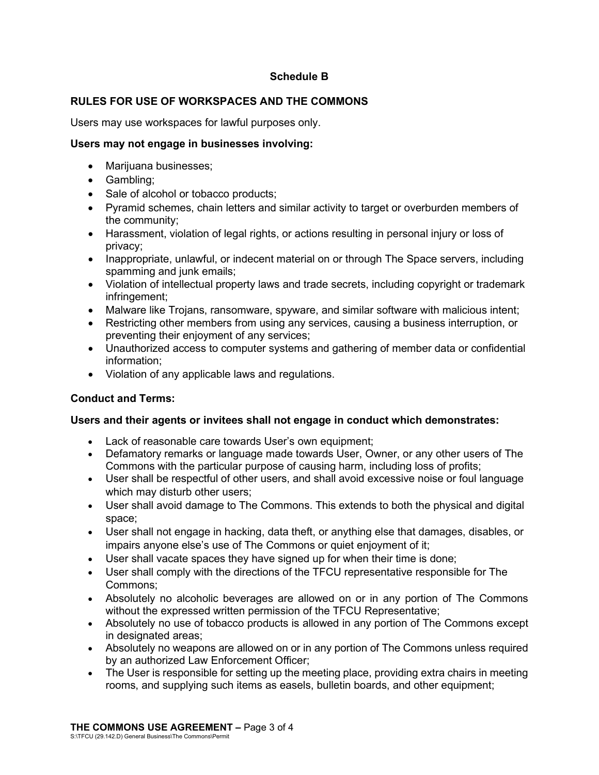# **Schedule B**

# **RULES FOR USE OF WORKSPACES AND THE COMMONS**

Users may use workspaces for lawful purposes only.

### **Users may not engage in businesses involving:**

- Marijuana businesses;
- Gambling;
- Sale of alcohol or tobacco products;
- Pyramid schemes, chain letters and similar activity to target or overburden members of the community;
- Harassment, violation of legal rights, or actions resulting in personal injury or loss of privacy;
- Inappropriate, unlawful, or indecent material on or through The Space servers, including spamming and junk emails;
- Violation of intellectual property laws and trade secrets, including copyright or trademark infringement;
- Malware like Trojans, ransomware, spyware, and similar software with malicious intent;
- Restricting other members from using any services, causing a business interruption, or preventing their enjoyment of any services;
- Unauthorized access to computer systems and gathering of member data or confidential information;
- Violation of any applicable laws and regulations.

### **Conduct and Terms:**

### **Users and their agents or invitees shall not engage in conduct which demonstrates:**

- Lack of reasonable care towards User's own equipment;
- Defamatory remarks or language made towards User, Owner, or any other users of The Commons with the particular purpose of causing harm, including loss of profits;
- User shall be respectful of other users, and shall avoid excessive noise or foul language which may disturb other users:
- User shall avoid damage to The Commons. This extends to both the physical and digital space;
- User shall not engage in hacking, data theft, or anything else that damages, disables, or impairs anyone else's use of The Commons or quiet enjoyment of it;
- User shall vacate spaces they have signed up for when their time is done;
- User shall comply with the directions of the TFCU representative responsible for The Commons;
- Absolutely no alcoholic beverages are allowed on or in any portion of The Commons without the expressed written permission of the TFCU Representative;
- Absolutely no use of tobacco products is allowed in any portion of The Commons except in designated areas;
- Absolutely no weapons are allowed on or in any portion of The Commons unless required by an authorized Law Enforcement Officer;
- The User is responsible for setting up the meeting place, providing extra chairs in meeting rooms, and supplying such items as easels, bulletin boards, and other equipment;